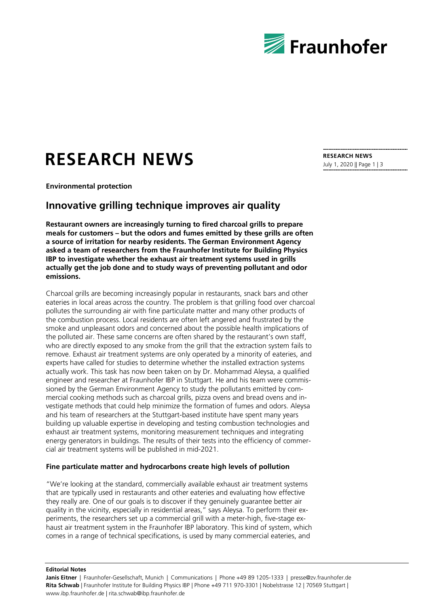

## **RESEARCH NEWS**

**Environmental protection**

## **Innovative grilling technique improves air quality**

**Restaurant owners are increasingly turning to fired charcoal grills to prepare meals for customers – but the odors and fumes emitted by these grills are often a source of irritation for nearby residents. The German Environment Agency asked a team of researchers from the Fraunhofer Institute for Building Physics IBP to investigate whether the exhaust air treatment systems used in grills actually get the job done and to study ways of preventing pollutant and odor emissions.**

Charcoal grills are becoming increasingly popular in restaurants, snack bars and other eateries in local areas across the country. The problem is that grilling food over charcoal pollutes the surrounding air with fine particulate matter and many other products of the combustion process. Local residents are often left angered and frustrated by the smoke and unpleasant odors and concerned about the possible health implications of the polluted air. These same concerns are often shared by the restaurant's own staff, who are directly exposed to any smoke from the grill that the extraction system fails to remove. Exhaust air treatment systems are only operated by a minority of eateries, and experts have called for studies to determine whether the installed extraction systems actually work. This task has now been taken on by Dr. Mohammad Aleysa, a qualified engineer and researcher at Fraunhofer IBP in Stuttgart. He and his team were commissioned by the German Environment Agency to study the pollutants emitted by commercial cooking methods such as charcoal grills, pizza ovens and bread ovens and investigate methods that could help minimize the formation of fumes and odors. Aleysa and his team of researchers at the Stuttgart-based institute have spent many years building up valuable expertise in developing and testing combustion technologies and exhaust air treatment systems, monitoring measurement techniques and integrating energy generators in buildings. The results of their tests into the efficiency of commercial air treatment systems will be published in mid-2021.

## **Fine particulate matter and hydrocarbons create high levels of pollution**

"We're looking at the standard, commercially available exhaust air treatment systems that are typically used in restaurants and other eateries and evaluating how effective they really are. One of our goals is to discover if they genuinely guarantee better air quality in the vicinity, especially in residential areas," says Aleysa. To perform their experiments, the researchers set up a commercial grill with a meter-high, five-stage exhaust air treatment system in the Fraunhofer IBP laboratory. This kind of system, which comes in a range of technical specifications, is used by many commercial eateries, and

**RESEARCH NEWS** July 1, 2020 || Page 1 | 3

**Editorial Notes**

Janis Eitner | Fraunhofer-Gesellschaft, Munich | Communications | Phone +49 89 1205-1333 | presse@zv.fraunhofer.de **Rita Schwab** | Fraunhofer Institute for Building Physics IBP | Phone +49 711 970-3301 | Nobelstrasse 12 | 70569 Stuttgart | www.ibp.fraunhofer.de | rita.schwab@ibp.fraunhofer.de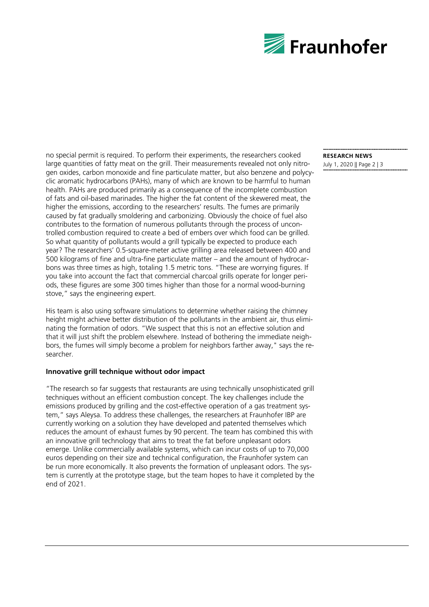

no special permit is required. To perform their experiments, the researchers cooked large quantities of fatty meat on the grill. Their measurements revealed not only nitrogen oxides, carbon monoxide and fine particulate matter, but also benzene and polycyclic aromatic hydrocarbons (PAHs), many of which are known to be harmful to human health. PAHs are produced primarily as a consequence of the incomplete combustion of fats and oil-based marinades. The higher the fat content of the skewered meat, the higher the emissions, according to the researchers' results. The fumes are primarily caused by fat gradually smoldering and carbonizing. Obviously the choice of fuel also contributes to the formation of numerous pollutants through the process of uncontrolled combustion required to create a bed of embers over which food can be grilled. So what quantity of pollutants would a grill typically be expected to produce each year? The researchers' 0.5-square-meter active grilling area released between 400 and 500 kilograms of fine and ultra-fine particulate matter – and the amount of hydrocarbons was three times as high, totaling 1.5 metric tons. "These are worrying figures. If you take into account the fact that commercial charcoal grills operate for longer periods, these figures are some 300 times higher than those for a normal wood-burning stove," says the engineering expert.

His team is also using software simulations to determine whether raising the chimney height might achieve better distribution of the pollutants in the ambient air, thus eliminating the formation of odors. "We suspect that this is not an effective solution and that it will just shift the problem elsewhere. Instead of bothering the immediate neighbors, the fumes will simply become a problem for neighbors farther away," says the researcher.

## **Innovative grill technique without odor impact**

"The research so far suggests that restaurants are using technically unsophisticated grill techniques without an efficient combustion concept. The key challenges include the emissions produced by grilling and the cost-effective operation of a gas treatment system," says Aleysa. To address these challenges, the researchers at Fraunhofer IBP are currently working on a solution they have developed and patented themselves which reduces the amount of exhaust fumes by 90 percent. The team has combined this with an innovative grill technology that aims to treat the fat before unpleasant odors emerge. Unlike commercially available systems, which can incur costs of up to 70,000 euros depending on their size and technical configuration, the Fraunhofer system can be run more economically. It also prevents the formation of unpleasant odors. The system is currently at the prototype stage, but the team hopes to have it completed by the end of 2021.

**RESEARCH NEWS**

July 1, 2020 || Page 2 | 3